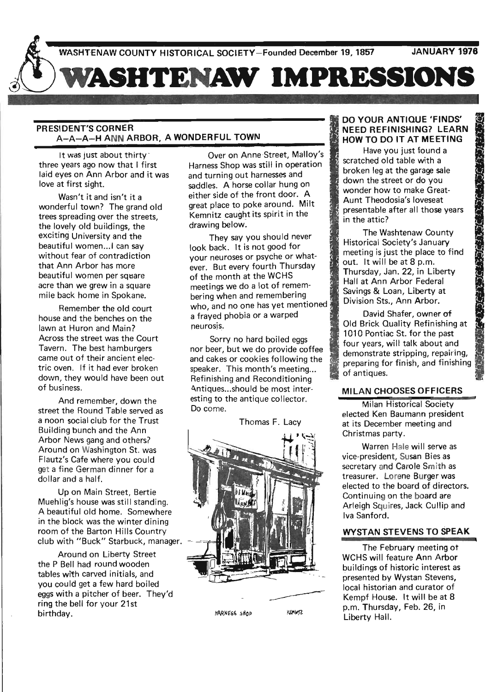# **WASHTENAW IMPRESSIONS**

# PRESIDENT'S CORNER . A-A-A-H ANN ARBOR, A WONDERFUL TOWN

It was just about thirty three years ago now that I first laid eyes on Ann Arbor and it was love at first sight.

Wasn't it and isn't it a wonderful town? The grand old trees spreading over the streets, the lovely old buildings, the exciting University and the beautiful women... I can say without fear of contradiction that Ann Arbor has more beautiful women per square acre than we grew in a square mile back home in Spokane.

Remember the old court house and the benches on the lawn at Huron and Main? Across the street was the Court Tavern. The best hamburgers came out of their ancient electric oven. If it had ever broken down, they would have been out of business.

And remember, down the street the Round Table served as a noon social club for the Trust Building bunch and the Ann Arbor News gang and others? Around on Washington St. was Flautz's Cafe where you could get a fine German dinner for a dollar and a half.

Up on Main Street, Bertie Muehlig's house was still standing. A beautiful old home. Somewhere in the block was the winter dining room of the Barton Hills Country club with "Buck" Starbuck, manager.

Around on Liberty Street the P Bell had round wooden tables with carved initials, and you could get a few hard boiled eggs with a pitcher of beer. They'd ring the bell for your 21st birthday.

Over on Anne Street, Malloy's Harness Shop was still in operation and turning out harnesses and saddles. A horse collar hung on either side of the front door. A great place to poke around. Milt Kemnitz caught its spirit in the drawing below.

They say you should never look back. It is not good for your neuroses or psyche or whatever. But every fourth Thursday of the month at the WCHS meetings we do a lot of remembering when and remembering who, and no one has yet mentioned a frayed phobia or a warped neurosis..

Sorry no hard boiled eggs nor beer, but we do provide coffee and cakes or cookies following the speaker. This month's meeting... Refinishing and Reconditioning Antiques... should be most interesting to the antique collector. Do come.

Thomas F. Lacy



# DO YOUR ANTIQUE 'FINDS' NEED REFINISHING? LEARN HOW TO DO IT AT MEETING

Have you just found a scratched old table with a broken leg at the garage sale down the street or do you wonder how to make Great-Aunt Theodosia's loveseat presentable after all those years in the attic?

The Washtenaw County Historical Society's January meeting is just the place to find out. It will be at 8 p.m. Thursday, Jan. 22, in Liberty Hall at Ann Arbor Federal Savings & Loan, Liberty at Division Sts., Ann Arbor. Drokerley at the yaraye sale<br>
down the street or do you<br>
wonder how to make Great-<br>
Aunt Theodosia's loveseat<br>
presentable after all those years<br>
in the attic?<br>
The Washtenaw County<br>
Historical Society's January<br>
meeting i

David Shafer, owner of 1010 Pontiac St. for the past four years, will talk about and demonstrate stripping, repairing, preparing for finish, and finishing of antiques.

# MILAN CHOOSES OFFICERS

Milan Historical Society elected Ken Baumann president at its December meeting and Christmas party.

Warren Hale will serve as vice-president, Susan Bies as secretary and Carole Smith as treasurer. Lorene Burger was elected to the board of directors. Continuing on the board are Arleigh Squires, Jack Cullip and Iva Sanford.

# WYSTAN STEVENS TO SPEAK

The February meeting ot WCHS will feature Ann Arbor buildings of historic interest as presented by Wystan Stevens, local historian and curator of Kempf House. It will be at 8 p.m. Thursday, Feb. 26, in Liberty Hall.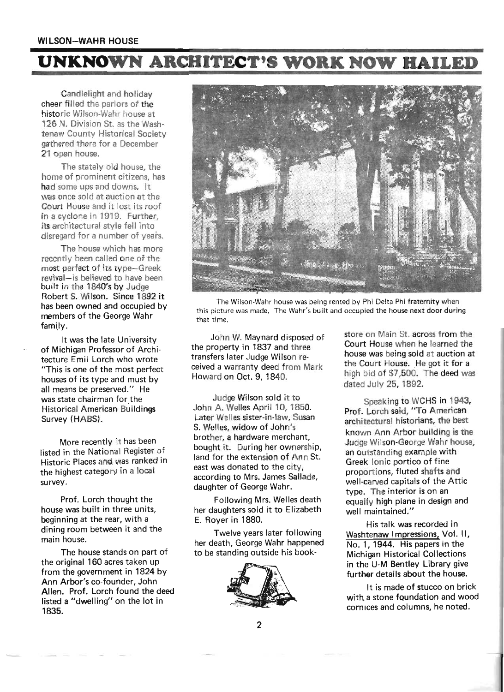# **WI LSON-WAHR HOUSE**

# **UNKNOWN ARCHITECT'S WORK NOW BAILED**

Candlelight and holiday cheer filled the parlors of the historic Wilson-Wahr house at 126 N. Division St. as the Washtenaw County Historical Society gathered there for a December 21 open house.

The stately old house, the home of prominent citizens, has had some ups and downs. It was once sold at auction at the Court House and it lost its roof in a cyclone in 1919. Further, its architectural style fell into disregard for a number of years.

The house which has more recently been called one of the most perfect of its type-Greek revival-is believed to have been built in the 1840's by Judge Robert S. Wilson. Since 1892 it has been owned and occupied by members of the George Wahr family.

It was the late University of Michigan Professor of Architecture Emil Lorch who wrote "This is one of the most perfect houses of its type and must by all means be preserved." He was state chairman for the Historical American Buildings Survey (HABS).

More recently it has been listed in the National Register of Historic Places and was ranked in the highest category in a local survey.

Prof. Lorch thought the house was built in three units, beginning at the rear, with a dining room between it and the main house.

The house stands on part of the original 160 acres taken up from the government in 1824 by Ann Arbor's co-founder, John Allen. Prof. Lorch found the deed listed a "dwelling" on the lot in 1835.



The Wilson-Wahr house was being rented by Phi Delta Phi fraternity when this picture was made. The Wahr's built and occupied the house next door during that time.

John W. Maynard disposed of the property in 1837 and three transfers later Judge Wilson received a warranty deed from Mark Howard on Oct. 9, 1840.

Judge Wilson sold it to John A. Welles April 10, 1850. Later Welles sister-in-law, Susan S. Welles, widow of John's brother, a hardware merchant, bought it. During her ownership, land for the extension of Ann St. east was donated to the city, according to Mrs. James Sallade, daughter of George Wahr.

Following Mrs. Welles death her daughters sold it to Elizabeth E. Royer in 1880.

Twelve years later following her death, George Wahr happened to be standing outside his book-



store on Main St. across from the Court House when he learned the house was being sold at auction at the Court House. He got it for a high bid of \$7,500. The deed was dated July 25, 1892.

Speaking to WCHS in 1943, Prof. Lorch said, "To American architectural historians, the best known Ann Arbor building is the Judge Wilson-George Wahr house, an outstanding example with Greek Ionic portico of fine proportions, fluted shafts and well-carved capitals of the Attic type. The interior is on an equally high plane in design and well maintained."

His talk was recorded in Washtenaw Impressions, Vol. II, No.1, 1944. His papers in the Michigan Historical Collections in the U-M Bentley Library give further details about the house.

It is made of stucco on brick with a stone foundation and wood cornices and columns, he noted.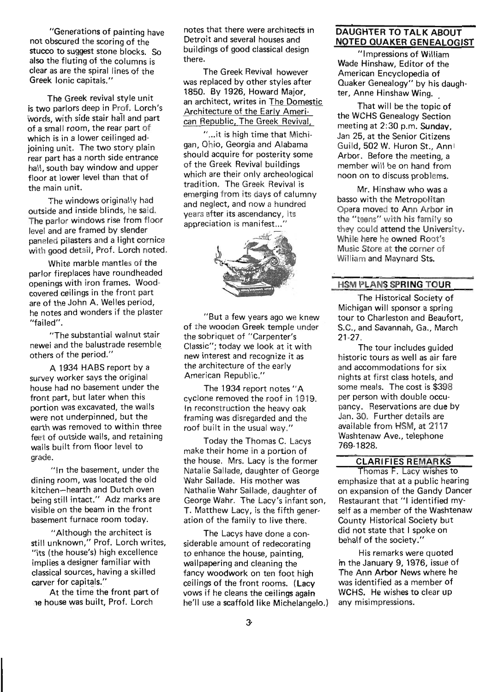"Generations of painting have , not obscured the scoring of the stucco to suggest stone blocks. So also the fluting of the columns is clear as are the spiral lines of the Greek Ionic capitals."

The Greek revival style unit is two parlors deep in Prof. Lorch's words, with side stair hall and part of a small room, the rear part of which is in a lower ceilinged adjoining unit. The two story plain rear part has a north side entrance hall, south bay window and upper floor at lower level than that of the main unit.

The windows originally had outside and inside blinds, he said. The parlor windows rise from floor level and are framed by slender paneled pilasters and a light cornice with good detail, Prof. Lorch noted.

White marble mantles of the parlor fireplaces have roundheaded openings with iron frames. Woodcovered ceilings in the front part are of the John A. Welles period, he notes and wonders if the plaster "failed".

"The substantial walnut stair newel and the balustrade resemble, others of the period."

A 1934 HABS report by a survey worker says the original house had no basement under the front part, but later when this portion was excavated, the walls were not underpinned, but the earth was removed to within three feet of outside walls, and retaining walls built from floor level to grade.

"In the basement, under the dining room, was located the old kitchen-hearth and Dutch oven being still intact." Adz marks are visible on the beam in the front basement furnace room today.

"Although the architect is still unknown," Prof. Lorch writes, "its (the house's) high excellence implies a designer familiar with classical sources, having a skilled carver for capitals."

At the time the front part of ne house was built, Prof. Lorch

notes that there were architects in Detroit and several houses and buildings of good classical design there.

The Greek Revival however was replaced by other styles after 1850. By 1926, Howard Major, an architect, writes in The Domestic Architecture of the Early American Republic, The Greek Revival,

" ... it is high time that Michigan, Ohio, Georgia and Alabama should acquire for posterity some of the Greek Revival buildings which are their only archeological tradition. The Greek Revival is emerging from its days of calumny and neglect, and now a hundred years after its ascendancy, its appreciation is manifest...'



"But a few years ago we knew of the wooden Greek temple under the sobriquet of "Carpenter's Classic"; today we look at it with new interest and recognize it as the architecture of the early American Republic."

The 1934 report notes "A cyclone removed the roof in 1919. In reconstruction the heavy oak framing was disregarded and the roof built in the usual way."

Today the Thomas C. Lacys make their home in a portion of the house. Mrs. Lacy is the former Natalie Sallade, daughter of George Wahr Sallade. His mother was Nathalie Wahr Sallade, daughter of George Wahr. The Lacy's infant son, T. Matthew Lacy, is the fifth generation of the family to live there.

The Lacys have done a considerable amount of redecorating to enhance the house, painting, wallpapering and cleaning the fancy woodwork on ten foot high ceilings of the front rooms. (Lacy vows if he cleans the ceilings again he'll use a scaffold like Michelangelo.)

# DAUGHTER TO TALK ABOUT NOTED QUAKER GENEALOGIST

"Impressions of William Wade Hinshaw, Editor of the American Encyclopedia of Quaker Genealogy" by his daughter, Anne Hinshaw Wing.

That will be the topic of the WCHS Genealogy Section meeting at 2:30 p.m. Sunday. Jan 25, at the Senior Citizens Guild, 502 W. Huron St., Annl Arbor. Before the meeting, a member will be on hand from noon on to discuss problems.

Mr. Hinshaw who was a basso with the Metropolitan Opera moved to Ann Arbor in the "teens" with his family so they could attend the University. While here he owned Root's Music Store at the corner of William and Maynard Sts.

#### HSM PLANS SPRING TOUR

The Historical Society of Michigan will sponsor a spring tour to Charleston and Beaufort, S.C., and Savannah, Ga., March 21-27.

The tour includes guided historic tours as well as air fare and accommodations for six nights at first class hotels, and some meals. The cost is \$398 per person with double occupancy. Reservations are due by Jan. 30. Further details are available from HSM, at 2117 Washtenaw Ave., telephone 769-1828.

# CLARIFIES REMARKS

Thomas F. Lacy wishes to emphasize that at a public hearing on expansion of the Gandy Dancer Restaurant that "1 identified myself as a member of the Washtenaw County Historical Society but did not state that I spoke on behalf of the society."

His remarks were quoted in the January 9, 1976, issue of The Ann Arbor News where he was identified as a member of WCHS. He wishes to clear up any misimpressions.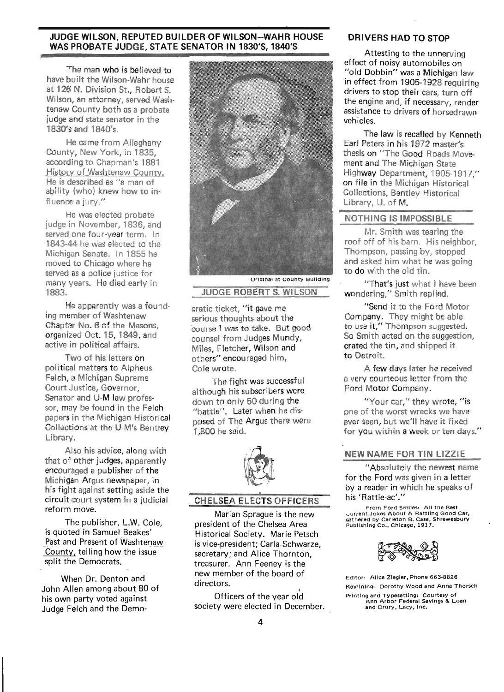#### JUDGE WILSON, REPUTED BUILDER OF WILSON-WAHR HOUSE WAS PROBATE JUDGE, STATE SENATOR IN 1830'S, 1840'S

The man who is believed to have built the Wilson-Wahr house at 126 N. Division St., Robert S. Wilson, an attorney, served Washtenaw County both as a probate judge and state senator in the 1830's and 1840's.

He came from Alleghany County, New York, in 1835, according to Chapman's 1881 History of Washtenaw County. He is described as "a man of ability (who) knew how to influence a jury."

He was elected probate judge in November, 1836, and served one four-year term. In 1843-44 he was elected to the Michigan Senate. In 1855 he moved to Chicago where he served as a police justice for many years. He died early in 1883.

He apparently was a founding member of Washtenaw Chapter No.6 of the Masons, organized Oct. 15, 1849, and active in political affairs.

Two of his letters on political matters to Alpheus Felch, a Michigan Supreme Court Justice, Governor, Senator and U-M law professor, may be found in the Felch papers in the Michigan Historical Collections at the U-M's Bentley Library.

Also his advice, along with that of other judges, apparently encouraged a publisher of the Michigan Argus newspaper, in his fight against setting aside the circuit court system in a judicial reform move.

The publisher, L.W. Cole, is quoted in Samuel Beakes' Past and Present of Washtenaw County, telling how the issue split the Democrats.

When Dr. Denton and John Allen among about 80 of his own party voted against Judge Felch and the Demo-



#### Orlainal at County Building

# JUDGE ROBERT S. WILSON

cratic ticket, "it gave me serious thoughts about the 'course I was to take. But good counsel from Judges Mundy, Miles, Fletcher, Wilson and others" encouraged him, Cole wrote.

The fight was successful although his subscribers were down to only 50 during the "battle". Later when he disposed of The Argus there were 1 ,800 he said.



# CHELSEA ELECTS OFFICERS

Marian Sprague is the new president of the Chelsea Area Historical Society. Marie Petsch is vice-president; Carla Schwarze, secretary; and Alice Thornton, treasurer. Ann Feeney is the new member of the board of directors.<br>Officers of the year old

society were elected in December.

# DRIVERS HAD TO STOP

Attesting to the unnerving effect of noisy automobiles on "old Dobbin" was a Michigan law in effect from 1905-1928 requiring drivers to stop their cars, turn off the engine and, if necessary, render assistance to drivers of horsedrawn vehicles.

The law is recalled by Kenneth Earl Peters in his 1972 master's thesis on "The Good Roads Movement and The Michigan State Highway Department, 1905-1917," on file in the Michigan Historical Collections, Bentley Historical Library, U. of M.

# NOTHING IS IMPOSSIBLE

Mr. Smith was tearing the roof off of his barn. His neighbor, Thompson, passing by, stopped and asked him what he was going to do with the old tin.

"That's just what I have been wondering," Smith replied.

"Send it to the Ford Motor Company. They might be able to use it," Thompson suggested. So Smith acted on the suggestion, crated the tin, and shipped it to Detroit.

A few days later he received a very courteous letter from the Ford Motor Company.

"Your car," they wrote, "is one of the worst wrecks we have ever seen, but we'll have it fixed for you within a week or ten days."

#### NEW NAME FOR TIN LIZZIE

"Absolutely the newest name for the Ford was given in a letter by a reader in which he speaks of his'Rattle-ac'."

From Ford Smiles: All the Best \_ lJrrent Jokes About A Rattling Go od -Car, gathered by Carleton B. Case, Shrew esbury Pub lish ing Co., Ch icago, 1917.



Editor: Alice Ziegler, Phone 663-8826 Keyllnlng: Dorothy Wood and Anna Thorsch Printing and Typesetting: Courtesy of Ann Arbor Federal Savings & Loan and Drury. Lacy. Inc.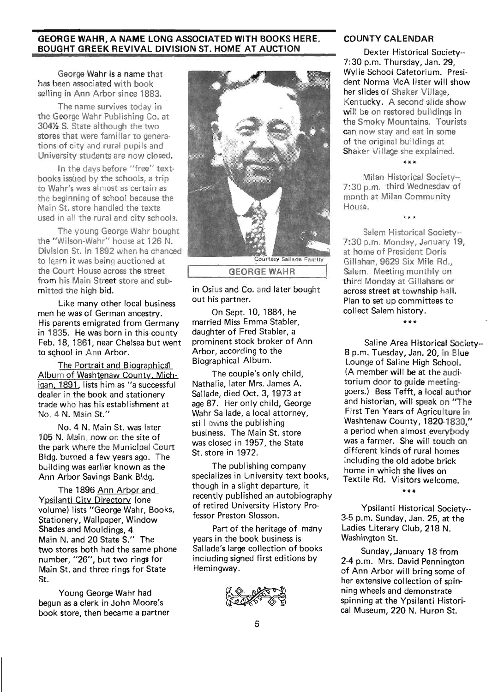#### GEORGE WAHR, A NAME LONG ASSOCIATED WITH BOOKS HERE. BOUGHT GREEK REVIVAL DIVISION ST. HOME AT AUCTION

George Wahr is a name that has been associated with book selling in Ann Arbor since 1883.

The name survives today in the George Wahr Publishing Co. at 304% S. State although the two stores that were familiar to generations of city and rural pupils and University students are now closed.

In the days before "free" textbooks issued by the schools, a trip to Wahr's was almost as certain as the beginning of school because the Main St. store handled the texts used in all the rural and city schools.

The young George Wahr bought the "Wilson-Wahr" house at 126 N. Division St. in 1892 when he chanced to learn it was being auctioned at the Court House across the street from his Main Street store and submitted the high bid.

Like many other local business men he was of German ancestry. His parents emigrated from Germany in 1835. He was born in this county Feb. 18, 1861, near Chelsea but went to school in Ann Arbor.

The Portrait and Biographical Album of Washtenaw County, Michigan. 1891, lists him as "a successful dealer in the book and stationery trade who has his establishment at No. 4 N. Main St ."

No.4 N. Main St. was later 105 N. Main, now on the site of the park where the Municipal Court Bldg. burned a few years ago. The building was earlier known as the Ann Arbor Savings Bank Bldg.

The 1896 Ann Arbor and Ypsilanti City Directory (one volume) lists "George Wahr, Books, Stationery, Wallpaper, Window Shades and Mouldings, 4. Main N. and 20 State S." The two stores both had the same phone number, "26", but two rings for Main St. and three rings for State St.

Young George Wahr had begun as a clerk in John Moore's book store, then became a partner



in Osius and Co. and later bought out his partner.

On Sept. 10, 1884, he married Miss Emma Stabler, daughter of Fred Stabler, a prominent stock broker of Ann Arbor, according to the Biographical Album.

The couple's only child, Nathalie, later Mrs. James A. Sallade, died Oct. 3, 1973 at age 87. Her only child, George Wahr Sallade, a local attorney, still owns the publishing business. The Main St. store was closed in 1957, the State St. store in 1972.

The publishing company specializes in University text books, though in a slight departure, it recently published an autobiography of retired University History Professor Preston Siosson.

Part of the heritage of many years in the book business is Sallade's large collection of books including signed first editions by Hemingway.

# COUNTY CALENDAR

Dexter Historical Society-- 7:30 p.m. Thursday, Jan. 29, Wylie School Cafetorium. President Norma McAllister will show her slides of Shaker Village, Kentucky. A second slide show will be on restored buildings in the Smoky Mountains. Tourists can now stay and eat in some of the original buildings at Shaker Village she explained.

\*\*\*

Milan Historical Society--. 7:30 p.m. third Wednesday of month at Milan Community House.

\*\*\*

Salem Historical Society-- 7:30 p.m. Monday, January 19, at home of President Doris Gillahan, 9629 Six Mile Rd., Salem. Meeting monthly on third Monday at Gillahans or across street at township hall. Plan to set up committees to collect Salem history.

\*\*\*

Saline Area Historical Society--8 p.m. Tuesday, Jan. 20, in Blue Lounge of Saline High School. (A member will be at the auditorium door to guide meetinggoers.) Bess Tefft, a local author and historian, will speak on "The First Ten Years of Agriculture in Washtenaw County, 1820-1830," a period when almost everybody was a farmer. She will touch on different kinds of rural homes including the old adobe brick home in which she lives on Textile Rd. Visitors welcome.

\*\*\*

Ypsilanti Historical Society-- 3-5 p.m. Sunday, Jan. 25, at the Ladies Literary Club, 218 N. Washington St.

Sunday, January 18 from 2-4 p.m. Mrs. David Pennington of Ann Arbor will bring some of her extensive collection of spinning wheels and demonstrate spinning at the Ypsilanti Historical Museum, 220 N. Huron St.